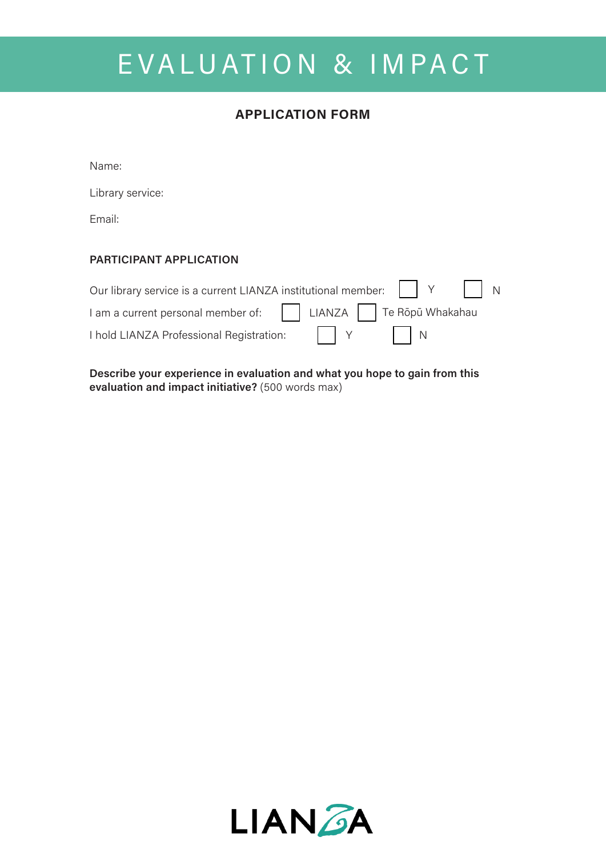## EVALUATION & IMPACT

### **APPLICATION FORM**

Name:

Library service:

Email:

### **PARTICIPANT APPLICATION**

| Our library service is a current LIANZA institutional member: $\begin{vmatrix} \cdot & \cdot & \cdot \\ \cdot & \cdot & \cdot \\ \cdot & \cdot & \cdot \end{vmatrix}$ N |                               |  |
|-------------------------------------------------------------------------------------------------------------------------------------------------------------------------|-------------------------------|--|
| I am a current personal member of:     LIANZA   Te Rōpū Whakahau                                                                                                        |                               |  |
| I hold LIANZA Professional Registration:                                                                                                                                | $\vert \vert Y \vert \vert N$ |  |

**Describe your experience in evaluation and what you hope to gain from this evaluation and impact initiative?** (500 words max)

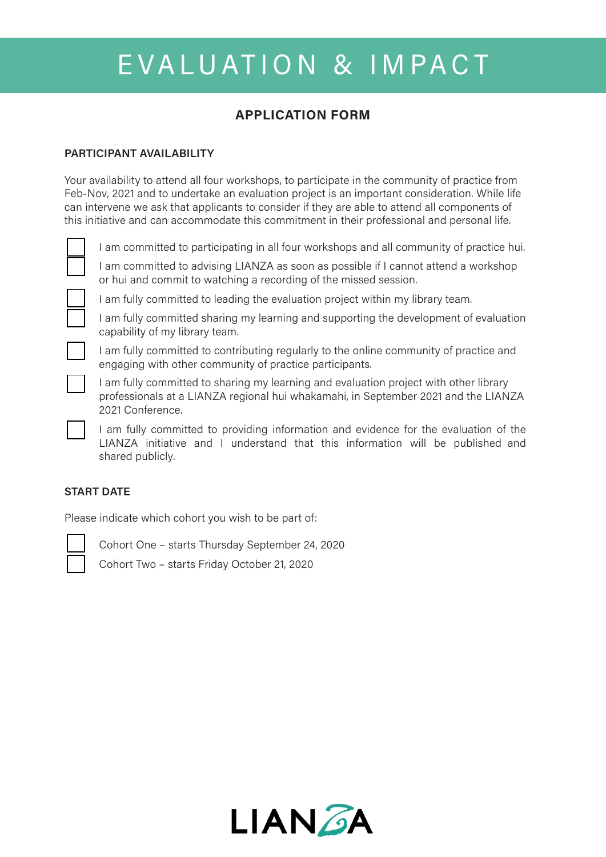# EVALUATION & IMPACT

## **APPLICATION FORM**

#### **PARTICIPANT AVAILABILITY**

Your availability to attend all four workshops, to participate in the community of practice from Feb-Nov, 2021 and to undertake an evaluation project is an important consideration. While life can intervene we ask that applicants to consider if they are able to attend all components of this initiative and can accommodate this commitment in their professional and personal life.



I am committed to participating in all four workshops and all community of practice hui.

I am committed to advising LIANZA as soon as possible if I cannot attend a workshop or hui and commit to watching a recording of the missed session.



I am fully committed to leading the evaluation project within my library team.

I am fully committed sharing my learning and supporting the development of evaluation capability of my library team.

I am fully committed to contributing regularly to the online community of practice and engaging with other community of practice participants.

I am fully committed to sharing my learning and evaluation project with other library professionals at a LIANZA regional hui whakamahi, in September 2021 and the LIANZA 2021 Conference.

I am fully committed to providing information and evidence for the evaluation of the LIANZA initiative and I understand that this information will be published and shared publicly.

#### **START DATE**

Please indicate which cohort you wish to be part of:



Cohort One – starts Thursday September 24, 2020

Cohort Two – starts Friday October 21, 2020